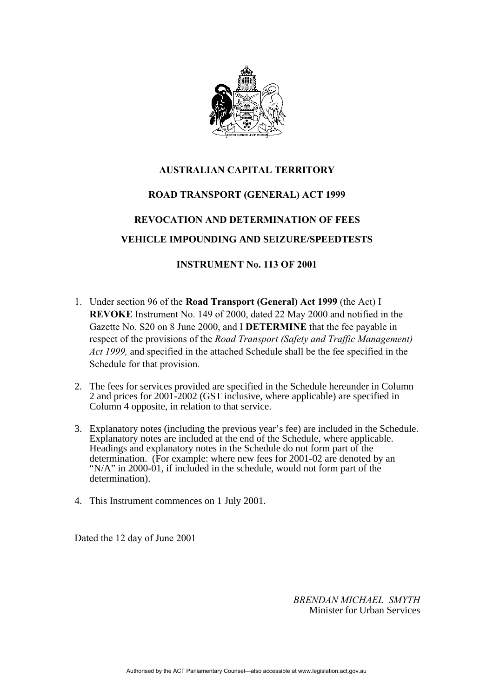

# **AUSTRALIAN CAPITAL TERRITORY**

### **ROAD TRANSPORT (GENERAL) ACT 1999**

## **REVOCATION AND DETERMINATION OF FEES**

### **VEHICLE IMPOUNDING AND SEIZURE/SPEEDTESTS**

### **INSTRUMENT No. 113 OF 2001**

- 1. Under section 96 of the **Road Transport (General) Act 1999** (the Act) I **REVOKE** Instrument No. 149 of 2000, dated 22 May 2000 and notified in the Gazette No. S20 on 8 June 2000, and I **DETERMINE** that the fee payable in respect of the provisions of the *Road Transport (Safety and Traffic Management) Act 1999,* and specified in the attached Schedule shall be the fee specified in the Schedule for that provision.
- 2. The fees for services provided are specified in the Schedule hereunder in Column 2 and prices for 2001-2002 (GST inclusive, where applicable) are specified in Column 4 opposite, in relation to that service.
- 3. Explanatory notes (including the previous year's fee) are included in the Schedule. Explanatory notes are included at the end of the Schedule, where applicable. Headings and explanatory notes in the Schedule do not form part of the determination. (For example: where new fees for 2001-02 are denoted by an "N/A" in 2000-01, if included in the schedule, would not form part of the determination).
- 4. This Instrument commences on 1 July 2001.

Dated the 12 day of June 2001

*BRENDAN MICHAEL SMYTH* Minister for Urban Services